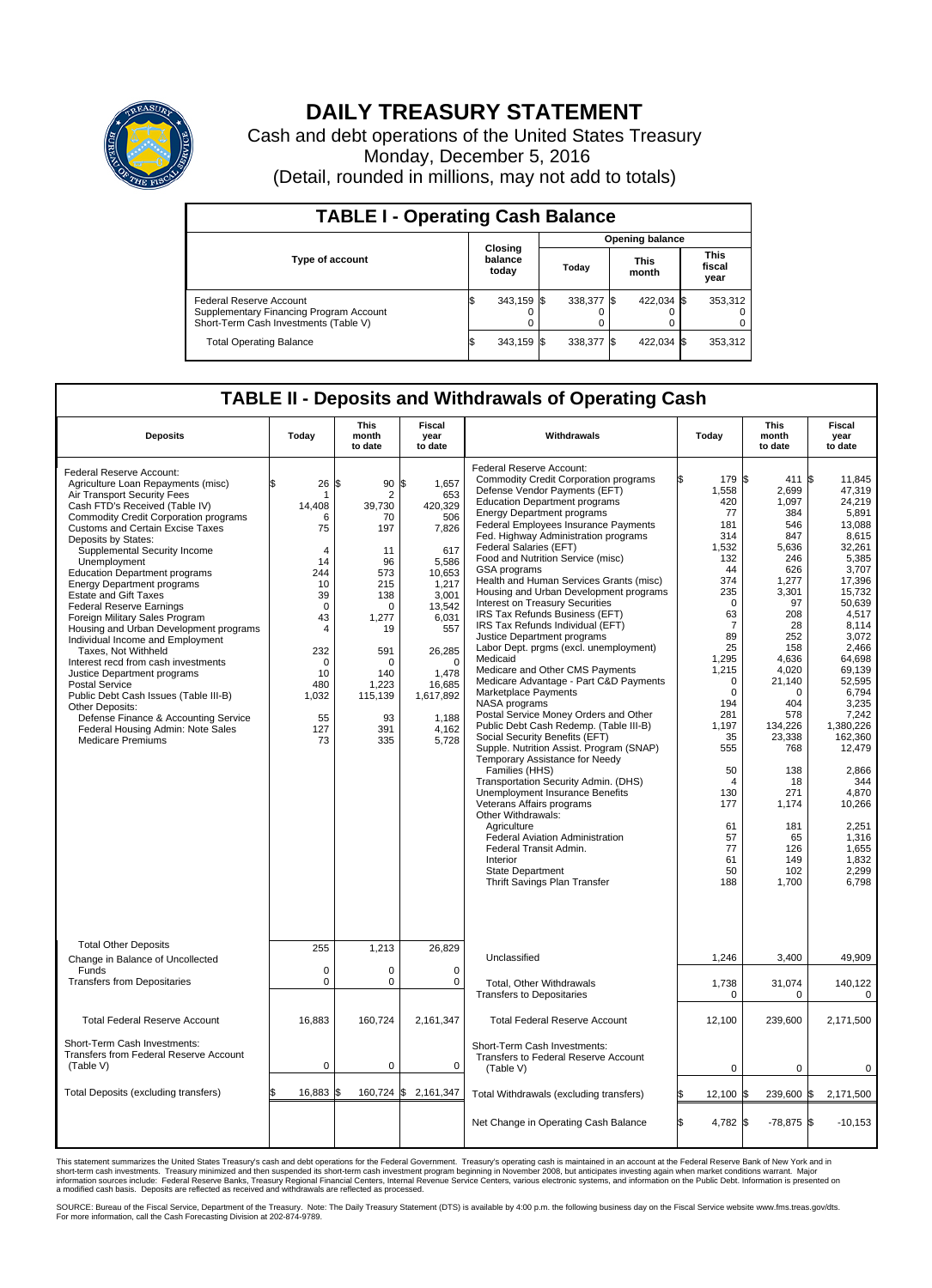

## **DAILY TREASURY STATEMENT**

Cash and debt operations of the United States Treasury Monday, December 5, 2016 (Detail, rounded in millions, may not add to totals)

| <b>TABLE I - Operating Cash Balance</b>                                                                     |  |                             |  |                        |  |                      |  |                               |  |  |
|-------------------------------------------------------------------------------------------------------------|--|-----------------------------|--|------------------------|--|----------------------|--|-------------------------------|--|--|
|                                                                                                             |  | Closing<br>balance<br>today |  | <b>Opening balance</b> |  |                      |  |                               |  |  |
| <b>Type of account</b>                                                                                      |  |                             |  | Today                  |  | <b>This</b><br>month |  | <b>This</b><br>fiscal<br>year |  |  |
| Federal Reserve Account<br>Supplementary Financing Program Account<br>Short-Term Cash Investments (Table V) |  | 343,159 \$                  |  | 338,377 \$             |  | 422,034 \$           |  | 353,312                       |  |  |
| <b>Total Operating Balance</b>                                                                              |  | 343,159 \$                  |  | 338,377 \$             |  | 422,034 \$           |  | 353,312                       |  |  |

## **TABLE II - Deposits and Withdrawals of Operating Cash**

| <b>Deposits</b>                                                                                                                                                                                                                                                                                                                                                                                                                                                                                                                                                                                                                                                                                                                                                                                                                                       | Today                                                                                                                                                                | This<br>month<br>to date                                                                                                                                           | Fiscal<br>year<br>to date                                                                                                                                                                            | Withdrawals                                                                                                                                                                                                                                                                                                                                                                                                                                                                                                                                                                                                                                                                                                                                                                                                                                                                                                                                                                                                                                                                                                                                                                                                                                                                 | Today |                                                                                                                                                                                                                                                                                  | <b>This</b><br>month<br>to date                                                                                                                                                                                                                                                | Fiscal<br>year<br>to date                                                                                                                                                                                                                                                                                                                       |
|-------------------------------------------------------------------------------------------------------------------------------------------------------------------------------------------------------------------------------------------------------------------------------------------------------------------------------------------------------------------------------------------------------------------------------------------------------------------------------------------------------------------------------------------------------------------------------------------------------------------------------------------------------------------------------------------------------------------------------------------------------------------------------------------------------------------------------------------------------|----------------------------------------------------------------------------------------------------------------------------------------------------------------------|--------------------------------------------------------------------------------------------------------------------------------------------------------------------|------------------------------------------------------------------------------------------------------------------------------------------------------------------------------------------------------|-----------------------------------------------------------------------------------------------------------------------------------------------------------------------------------------------------------------------------------------------------------------------------------------------------------------------------------------------------------------------------------------------------------------------------------------------------------------------------------------------------------------------------------------------------------------------------------------------------------------------------------------------------------------------------------------------------------------------------------------------------------------------------------------------------------------------------------------------------------------------------------------------------------------------------------------------------------------------------------------------------------------------------------------------------------------------------------------------------------------------------------------------------------------------------------------------------------------------------------------------------------------------------|-------|----------------------------------------------------------------------------------------------------------------------------------------------------------------------------------------------------------------------------------------------------------------------------------|--------------------------------------------------------------------------------------------------------------------------------------------------------------------------------------------------------------------------------------------------------------------------------|-------------------------------------------------------------------------------------------------------------------------------------------------------------------------------------------------------------------------------------------------------------------------------------------------------------------------------------------------|
| Federal Reserve Account:<br>Agriculture Loan Repayments (misc)<br>Air Transport Security Fees<br>Cash FTD's Received (Table IV)<br>Commodity Credit Corporation programs<br><b>Customs and Certain Excise Taxes</b><br>Deposits by States:<br>Supplemental Security Income<br>Unemployment<br><b>Education Department programs</b><br><b>Energy Department programs</b><br><b>Estate and Gift Taxes</b><br><b>Federal Reserve Earnings</b><br>Foreign Military Sales Program<br>Housing and Urban Development programs<br>Individual Income and Employment<br>Taxes, Not Withheld<br>Interest recd from cash investments<br>Justice Department programs<br><b>Postal Service</b><br>Public Debt Cash Issues (Table III-B)<br>Other Deposits:<br>Defense Finance & Accounting Service<br>Federal Housing Admin: Note Sales<br><b>Medicare Premiums</b> | \$<br>26<br>-1<br>14,408<br>6<br>75<br>4<br>14<br>244<br>10<br>39<br>$\mathbf 0$<br>43<br>$\overline{4}$<br>232<br>$\Omega$<br>10<br>480<br>1,032<br>55<br>127<br>73 | \$<br>90<br>2<br>39,730<br>70<br>197<br>11<br>96<br>573<br>215<br>138<br>$\Omega$<br>1,277<br>19<br>591<br>$\Omega$<br>140<br>1,223<br>115,139<br>93<br>391<br>335 | \$<br>1,657<br>653<br>420,329<br>506<br>7,826<br>617<br>5,586<br>10,653<br>1,217<br>3,001<br>13,542<br>6,031<br>557<br>26,285<br>$\Omega$<br>1.478<br>16,685<br>1,617,892<br>1.188<br>4,162<br>5,728 | Federal Reserve Account:<br><b>Commodity Credit Corporation programs</b><br>Defense Vendor Payments (EFT)<br><b>Education Department programs</b><br><b>Energy Department programs</b><br><b>Federal Employees Insurance Payments</b><br>Fed. Highway Administration programs<br>Federal Salaries (EFT)<br>Food and Nutrition Service (misc)<br>GSA programs<br>Health and Human Services Grants (misc)<br>Housing and Urban Development programs<br>Interest on Treasury Securities<br>IRS Tax Refunds Business (EFT)<br>IRS Tax Refunds Individual (EFT)<br>Justice Department programs<br>Labor Dept. prgms (excl. unemployment)<br>Medicaid<br>Medicare and Other CMS Payments<br>Medicare Advantage - Part C&D Payments<br>Marketplace Payments<br>NASA programs<br>Postal Service Money Orders and Other<br>Public Debt Cash Redemp. (Table III-B)<br>Social Security Benefits (EFT)<br>Supple. Nutrition Assist. Program (SNAP)<br>Temporary Assistance for Needy<br>Families (HHS)<br>Transportation Security Admin. (DHS)<br>Unemployment Insurance Benefits<br>Veterans Affairs programs<br>Other Withdrawals:<br>Agriculture<br><b>Federal Aviation Administration</b><br>Federal Transit Admin.<br>Interior<br>State Department<br>Thrift Savings Plan Transfer |       | 179 \$<br>1,558<br>420<br>77<br>181<br>314<br>1,532<br>132<br>44<br>374<br>235<br>$\Omega$<br>63<br>7<br>89<br>25<br>1,295<br>1,215<br>$\mathbf 0$<br>$\mathbf 0$<br>194<br>281<br>1,197<br>35<br>555<br>50<br>$\overline{4}$<br>130<br>177<br>61<br>57<br>77<br>61<br>50<br>188 | 411<br>2,699<br>1.097<br>384<br>546<br>847<br>5.636<br>246<br>626<br>1,277<br>3,301<br>97<br>208<br>28<br>252<br>158<br>4,636<br>4,020<br>21,140<br>$\Omega$<br>404<br>578<br>134,226<br>23,338<br>768<br>138<br>18<br>271<br>1,174<br>181<br>65<br>126<br>149<br>102<br>1,700 | 1\$<br>11,845<br>47,319<br>24.219<br>5,891<br>13.088<br>8,615<br>32.261<br>5,385<br>3,707<br>17,396<br>15,732<br>50,639<br>4,517<br>8.114<br>3,072<br>2.466<br>64,698<br>69,139<br>52.595<br>6,794<br>3,235<br>7,242<br>1.380.226<br>162,360<br>12,479<br>2,866<br>344<br>4,870<br>10,266<br>2,251<br>1,316<br>1,655<br>1.832<br>2,299<br>6,798 |
| <b>Total Other Deposits</b><br>Change in Balance of Uncollected                                                                                                                                                                                                                                                                                                                                                                                                                                                                                                                                                                                                                                                                                                                                                                                       | 255                                                                                                                                                                  | 1,213                                                                                                                                                              | 26,829                                                                                                                                                                                               | Unclassified                                                                                                                                                                                                                                                                                                                                                                                                                                                                                                                                                                                                                                                                                                                                                                                                                                                                                                                                                                                                                                                                                                                                                                                                                                                                |       | 1,246                                                                                                                                                                                                                                                                            | 3,400                                                                                                                                                                                                                                                                          | 49,909                                                                                                                                                                                                                                                                                                                                          |
| Funds<br><b>Transfers from Depositaries</b>                                                                                                                                                                                                                                                                                                                                                                                                                                                                                                                                                                                                                                                                                                                                                                                                           | $\mathbf 0$<br>$\mathbf 0$                                                                                                                                           | 0<br>0                                                                                                                                                             | 0<br>0                                                                                                                                                                                               | Total, Other Withdrawals<br><b>Transfers to Depositaries</b>                                                                                                                                                                                                                                                                                                                                                                                                                                                                                                                                                                                                                                                                                                                                                                                                                                                                                                                                                                                                                                                                                                                                                                                                                |       | 1,738<br>$\mathbf 0$                                                                                                                                                                                                                                                             | 31,074<br>$\mathbf 0$                                                                                                                                                                                                                                                          | 140,122<br>$\mathbf 0$                                                                                                                                                                                                                                                                                                                          |
| <b>Total Federal Reserve Account</b>                                                                                                                                                                                                                                                                                                                                                                                                                                                                                                                                                                                                                                                                                                                                                                                                                  | 16,883                                                                                                                                                               | 160,724                                                                                                                                                            | 2,161,347                                                                                                                                                                                            | <b>Total Federal Reserve Account</b>                                                                                                                                                                                                                                                                                                                                                                                                                                                                                                                                                                                                                                                                                                                                                                                                                                                                                                                                                                                                                                                                                                                                                                                                                                        |       | 12,100                                                                                                                                                                                                                                                                           | 239,600                                                                                                                                                                                                                                                                        | 2,171,500                                                                                                                                                                                                                                                                                                                                       |
| Short-Term Cash Investments:<br>Transfers from Federal Reserve Account<br>(Table V)                                                                                                                                                                                                                                                                                                                                                                                                                                                                                                                                                                                                                                                                                                                                                                   | $\mathbf 0$                                                                                                                                                          | 0                                                                                                                                                                  | 0                                                                                                                                                                                                    | Short-Term Cash Investments:<br>Transfers to Federal Reserve Account<br>(Table V)                                                                                                                                                                                                                                                                                                                                                                                                                                                                                                                                                                                                                                                                                                                                                                                                                                                                                                                                                                                                                                                                                                                                                                                           |       | 0                                                                                                                                                                                                                                                                                | $\Omega$                                                                                                                                                                                                                                                                       | $\Omega$                                                                                                                                                                                                                                                                                                                                        |
| Total Deposits (excluding transfers)                                                                                                                                                                                                                                                                                                                                                                                                                                                                                                                                                                                                                                                                                                                                                                                                                  | 16,883<br>\$                                                                                                                                                         | \$                                                                                                                                                                 | 160,724 \$ 2,161,347                                                                                                                                                                                 | Total Withdrawals (excluding transfers)                                                                                                                                                                                                                                                                                                                                                                                                                                                                                                                                                                                                                                                                                                                                                                                                                                                                                                                                                                                                                                                                                                                                                                                                                                     | ß.    | 12,100 \$                                                                                                                                                                                                                                                                        | 239,600 \$                                                                                                                                                                                                                                                                     | 2,171,500                                                                                                                                                                                                                                                                                                                                       |
|                                                                                                                                                                                                                                                                                                                                                                                                                                                                                                                                                                                                                                                                                                                                                                                                                                                       |                                                                                                                                                                      |                                                                                                                                                                    |                                                                                                                                                                                                      | Net Change in Operating Cash Balance                                                                                                                                                                                                                                                                                                                                                                                                                                                                                                                                                                                                                                                                                                                                                                                                                                                                                                                                                                                                                                                                                                                                                                                                                                        | Ŝ.    | 4.782 \$                                                                                                                                                                                                                                                                         | $-78,875$ \$                                                                                                                                                                                                                                                                   | $-10,153$                                                                                                                                                                                                                                                                                                                                       |

This statement summarizes the United States Treasury's cash and debt operations for the Federal Government. Treasury's operating cash is maintained in an account at the Federal Reserve Bank of New York and in<br>short-term ca

SOURCE: Bureau of the Fiscal Service, Department of the Treasury. Note: The Daily Treasury Statement (DTS) is available by 4:00 p.m. the following business day on the Fiscal Service website www.fms.treas.gov/dts.<br>For more